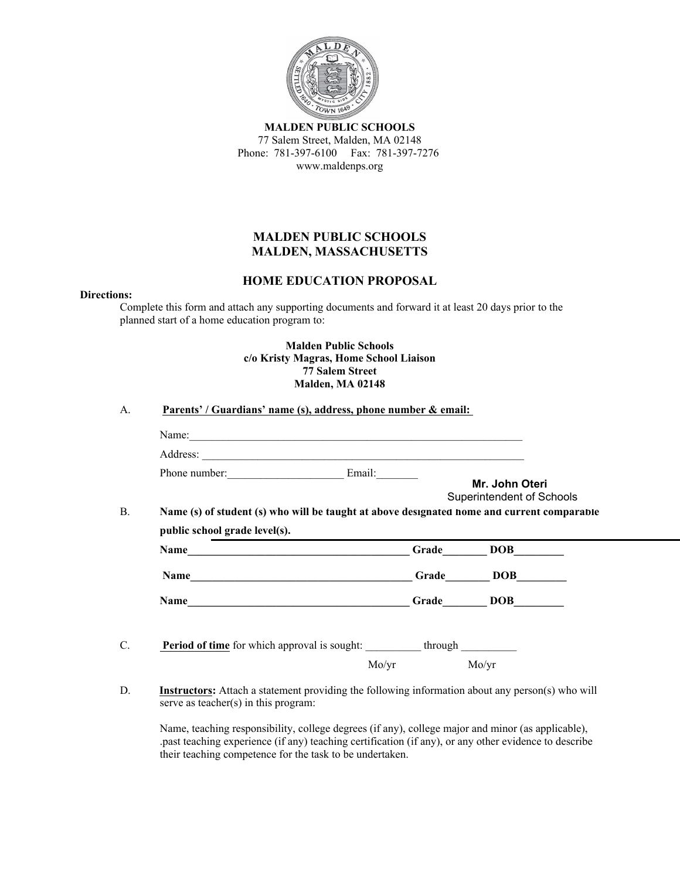

**MALDEN PUBLIC SCHOOLS** 77 Salem Street, Malden, MA 02148 Phone: 781-397-6100 Fax: 781-397-7276 www.maldenps.org

# **MALDEN PUBLIC SCHOOLS MALDEN, MASSACHUSETTS**

# **HOME EDUCATION PROPOSAL**

### **Directions:**

Complete this form and attach any supporting documents and forward it at least 20 days prior to the planned start of a home education program to:

#### **Malden Public Schools c/o Kristy Magras, Home School Liaison 77 Salem Street Malden, MA 02148**

# A. **Parents' / Guardians' name (s), address, phone number & email:**

| Phone number: Email: Email:   |       | Mr. John Oteri<br>Superintendent of Schools                                                |
|-------------------------------|-------|--------------------------------------------------------------------------------------------|
|                               |       | Name (s) of student (s) who will be taught at above designated nome and current comparable |
| public school grade level(s). |       |                                                                                            |
|                               | Grade | DOB                                                                                        |
|                               |       | Grade DOB                                                                                  |
|                               |       |                                                                                            |
|                               |       |                                                                                            |
|                               |       |                                                                                            |

D. **Instructors:** Attach a statement providing the following information about any person(s) who will serve as teacher(s) in this program:

Name, teaching responsibility, college degrees (if any), college major and minor (as applicable), .past teaching experience (if any) teaching certification (if any), or any other evidence to describe their teaching competence for the task to be undertaken.